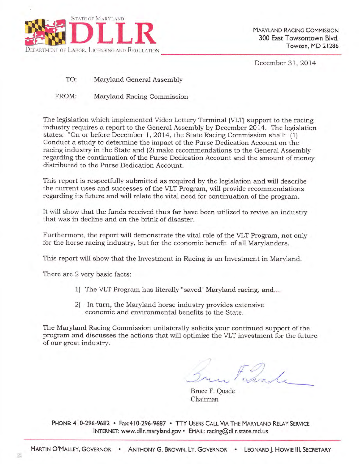

December 3I,2Ol4

TO: Maryland General Assembly

FROM: Maryland Racing Commission

The legislation which impiemented Video Lottery Terminal (VLT) support to the racing industry requires a report to the General Assembly by December 2014. The legislation states: "On or before December 1, 2014, the State Racing Commission shall: (1) Conduct a study to determine the impact of the Purse Dedication Account on the racing industry in the State and (2) make recommendations to the General Assembly regarding the continuation of the Purse Dedication Account and the amount of money distributed to the Purse Dedication Account.

This report is respectfully submitted as required by the legislation and wilI describe the current uses and successes of the VLT Program, will provide recommendations regarding its future and will relate the vital need for continuation of the program.

It will show that the funds received thus far have been utilized to revive an industry that was in deciine and on the brink of disaster.

Furthermore, the report will demonstrate the vital role of the VLT Program, not only for the horse racing industry, but for the economic benefit of all Maryianders.

This report will show that the Investment in Racing is an Investment in Maryland.

There are 2 very basic facts:

- 1) The VLT Program has literally "saved" Maryland racing, and...
- 2) In turn, the Maryland horse industry provides extensive economic and environmental benefits to the State.

The Maryland Racing Commission unilaterally solicits your continued support of the program and discusses the actions that will optimize the VLT investment for the future of our great industry.

 $\#O$  $4.4.1$  .

Bruce F. Quade Chairman

PHONE: 410-296-9682 · Fax:410-296-9687 · TTY USERS CALL VIA THE MARYLAND RELAY SERVICE INTERNET: www.dllr.maryland.gov · EMAIL: racing@dllr.state.md.us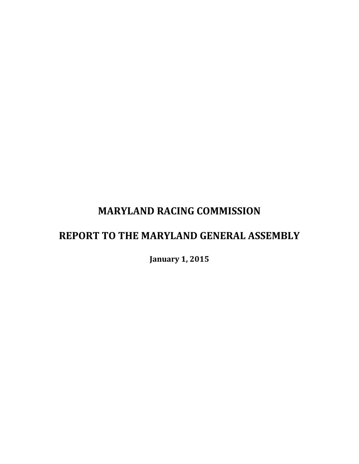# **MARYLAND RACING COMMISSION**

# **REPORT TO THE MARYLAND GENERAL ASSEMBLY**

**January 1, 2015**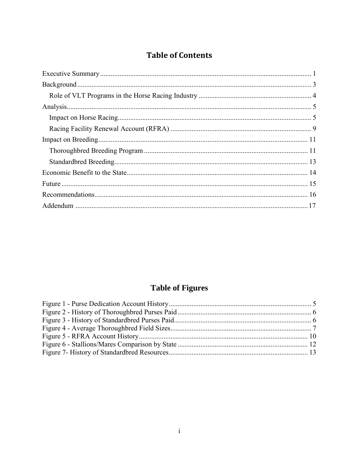# **Table of Contents**

# **Table of Figures**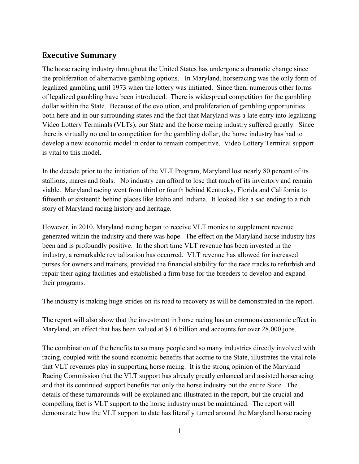## <span id="page-3-0"></span>**Executive Summary**

The horse racing industry throughout the United States has undergone a dramatic change since the proliferation of alternative gambling options. In Maryland, horseracing was the only form of legalized gambling until 1973 when the lottery was initiated. Since then, numerous other forms of legalized gambling have been introduced. There is widespread competition for the gambling dollar within the State. Because of the evolution, and proliferation of gambling opportunities both here and in our surrounding states and the fact that Maryland was a late entry into legalizing Video Lottery Terminals (VLTs), our State and the horse racing industry suffered greatly. Since there is virtually no end to competition for the gambling dollar, the horse industry has had to develop a new economic model in order to remain competitive. Video Lottery Terminal support is vital to this model.

In the decade prior to the initiation of the VLT Program, Maryland lost nearly 80 percent of its stallions, mares and foals. No industry can afford to lose that much of its inventory and remain viable. Maryland racing went from third or fourth behind Kentucky, Florida and California to fifteenth or sixteenth behind places like Idaho and Indiana. It looked like a sad ending to a rich story of Maryland racing history and heritage.

However, in 2010, Maryland racing began to receive VLT monies to supplement revenue generated within the industry and there was hope. The effect on the Maryland horse industry has been and is profoundly positive. In the short time VLT revenue has been invested in the industry, a remarkable revitalization has occurred. VLT revenue has allowed for increased purses for owners and trainers, provided the financial stability for the race tracks to refurbish and repair their aging facilities and established a firm base for the breeders to develop and expand their programs.

The industry is making huge strides on its road to recovery as will be demonstrated in the report.

The report will also show that the investment in horse racing has an enormous economic effect in Maryland, an effect that has been valued at \$1.6 billion and accounts for over 28,000 jobs.

The combination of the benefits to so many people and so many industries directly involved with racing, coupled with the sound economic benefits that accrue to the State, illustrates the vital role that VLT revenues play in supporting horse racing. It is the strong opinion of the Maryland Racing Commission that the VLT support has already greatly enhanced and assisted horseracing and that its continued support benefits not only the horse industry but the entire State. The details of these turnarounds will be explained and illustrated in the report, but the crucial and compelling fact is VLT support to the horse industry must be maintained. The report will demonstrate how the VLT support to date has literally turned around the Maryland horse racing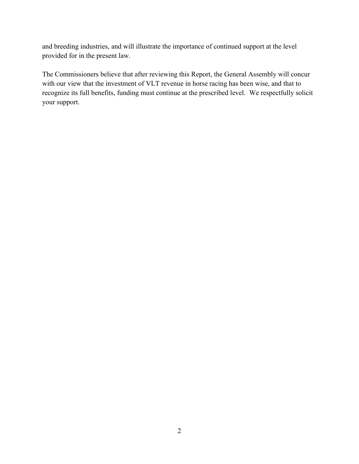and breeding industries, and will illustrate the importance of continued support at the level provided for in the present law.

<span id="page-4-0"></span>The Commissioners believe that after reviewing this Report, the General Assembly will concur with our view that the investment of VLT revenue in horse racing has been wise, and that to recognize its full benefits, funding must continue at the prescribed level. We respectfully solicit your support.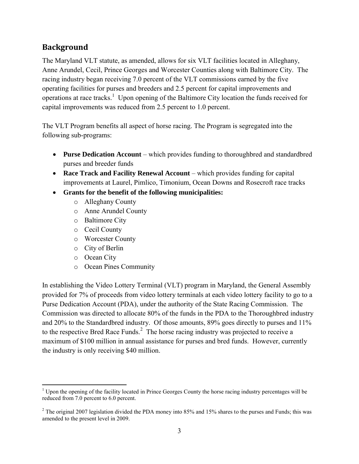## **Background**

The Maryland VLT statute, as amended, allows for six VLT facilities located in Alleghany, Anne Arundel, Cecil, Prince Georges and Worcester Counties along with Baltimore City. The racing industry began receiving 7.0 percent of the VLT commissions earned by the five operating facilities for purses and breeders and 2.5 percent for capital improvements and operations at race tracks.<sup>1</sup> Upon opening of the Baltimore City location the funds received for capital improvements was reduced from 2.5 percent to 1.0 percent.

The VLT Program benefits all aspect of horse racing. The Program is segregated into the following sub-programs:

- **Purse Dedication Account** which provides funding to thoroughbred and standardbred purses and breeder funds
- **Race Track and Facility Renewal Account** which provides funding for capital improvements at Laurel, Pimlico, Timonium, Ocean Downs and Rosecroft race tracks
- **Grants for the benefit of the following municipalities:** 
	- o Alleghany County
	- o Anne Arundel County
	- o Baltimore City
	- o Cecil County
	- o Worcester County
	- o City of Berlin
	- o Ocean City
	- o Ocean Pines Community

In establishing the Video Lottery Terminal (VLT) program in Maryland, the General Assembly provided for 7% of proceeds from video lottery terminals at each video lottery facility to go to a Purse Dedication Account (PDA), under the authority of the State Racing Commission. The Commission was directed to allocate 80% of the funds in the PDA to the Thoroughbred industry and 20% to the Standardbred industry. Of those amounts, 89% goes directly to purses and 11% to the respective Bred Race Funds. $2$  The horse racing industry was projected to receive a maximum of \$100 million in annual assistance for purses and bred funds. However, currently the industry is only receiving \$40 million.

<sup>&</sup>lt;sup>1</sup> Upon the opening of the facility located in Prince Georges County the horse racing industry percentages will be reduced from 7.0 percent to 6.0 percent.

<sup>&</sup>lt;sup>2</sup> The original 2007 legislation divided the PDA money into 85% and 15% shares to the purses and Funds; this was amended to the present level in 2009.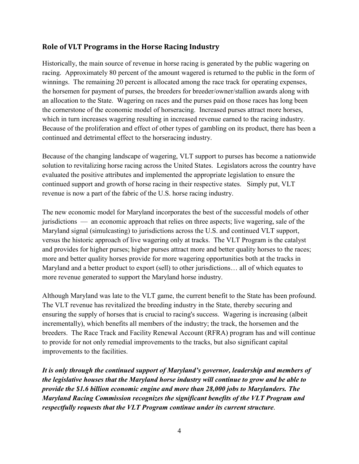### <span id="page-6-0"></span>**Role of VLT Programs in the Horse Racing Industry**

Historically, the main source of revenue in horse racing is generated by the public wagering on racing. Approximately 80 percent of the amount wagered is returned to the public in the form of winnings. The remaining 20 percent is allocated among the race track for operating expenses, the horsemen for payment of purses, the breeders for breeder/owner/stallion awards along with an allocation to the State. Wagering on races and the purses paid on those races has long been the cornerstone of the economic model of horseracing. Increased purses attract more horses, which in turn increases wagering resulting in increased revenue earned to the racing industry. Because of the proliferation and effect of other types of gambling on its product, there has been a continued and detrimental effect to the horseracing industry.

Because of the changing landscape of wagering, VLT support to purses has become a nationwide solution to revitalizing horse racing across the United States. Legislators across the country have evaluated the positive attributes and implemented the appropriate legislation to ensure the continued support and growth of horse racing in their respective states. Simply put, VLT revenue is now a part of the fabric of the U.S. horse racing industry.

The new economic model for Maryland incorporates the best of the successful models of other jurisdictions — an economic approach that relies on three aspects; live wagering, sale of the Maryland signal (simulcasting) to jurisdictions across the U.S. and continued VLT support, versus the historic approach of live wagering only at tracks. The VLT Program is the catalyst and provides for higher purses; higher purses attract more and better quality horses to the races; more and better quality horses provide for more wagering opportunities both at the tracks in Maryland and a better product to export (sell) to other jurisdictions... all of which equates to more revenue generated to support the Maryland horse industry.

Although Maryland was late to the VLT game, the current benefit to the State has been profound. The VLT revenue has revitalized the breeding industry in the State, thereby securing and ensuring the supply of horses that is crucial to racing's success. Wagering is increasing (albeit incrementally), which benefits all members of the industry; the track, the horsemen and the breeders. The Race Track and Facility Renewal Account (RFRA) program has and will continue to provide for not only remedial improvements to the tracks, but also significant capital improvements to the facilities.

*It is only through the continued support of Maryland's governor, leadership and members of the legislative houses that the Maryland horse industry will continue to grow and be able to provide the \$1.6 billion economic engine and more than 28,000 jobs to Marylanders. The Maryland Racing Commission recognizes the significant benefits of the VLT Program and respectfully requests that the VLT Program continue under its current structure.*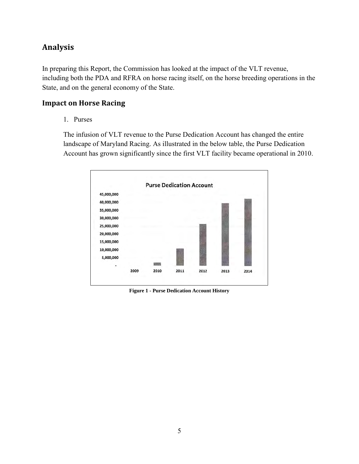# <span id="page-7-0"></span>**Analysis**

In preparing this Report, the Commission has looked at the impact of the VLT revenue, including both the PDA and RFRA on horse racing itself, on the horse breeding operations in the State, and on the general economy of the State.

#### <span id="page-7-1"></span>**Impact on Horse Racing**

1. Purses

 The infusion of VLT revenue to the Purse Dedication Account has changed the entire landscape of Maryland Racing. As illustrated in the below table, the Purse Dedication Account has grown significantly since the first VLT facility became operational in 2010.



<span id="page-7-2"></span>**Figure 1 - Purse Dedication Account History**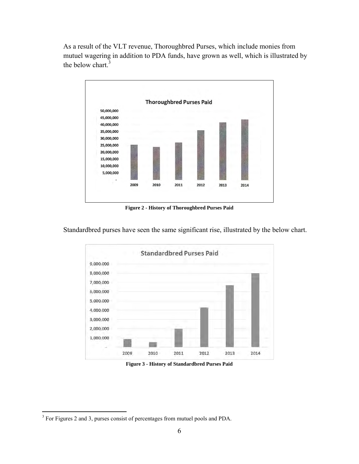As a result of the VLT revenue, Thoroughbred Purses, which include monies from mutuel wagering in addition to PDA funds, have grown as well, which is illustrated by the below chart.<sup>3</sup>



**Figure 2 - History of Thoroughbred Purses Paid**

<span id="page-8-0"></span>Standardbred purses have seen the same significant rise, illustrated by the below chart.



**Figure 3 - History of Standardbred Purses Paid**

<span id="page-8-1"></span> $\overline{a}$  $3$  For Figures 2 and 3, purses consist of percentages from mutuel pools and PDA.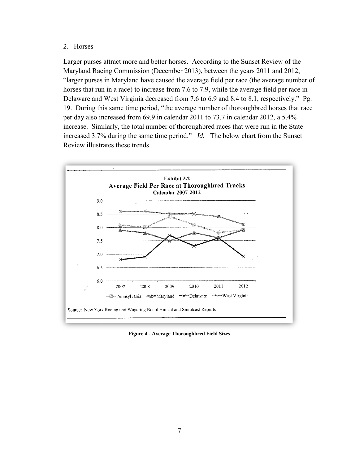#### 2. Horses

 Larger purses attract more and better horses. According to the Sunset Review of the Maryland Racing Commission (December 2013), between the years 2011 and 2012, "larger purses in Maryland have caused the average field per race (the average number of horses that run in a race) to increase from 7.6 to 7.9, while the average field per race in Delaware and West Virginia decreased from 7.6 to 6.9 and 8.4 to 8.1, respectively." Pg. 19. During this same time period, "the average number of thoroughbred horses that race per day also increased from 69.9 in calendar 2011 to 73.7 in calendar 2012, a 5.4% increase. Similarly, the total number of thoroughbred races that were run in the State increased 3.7% during the same time period." *Id.* The below chart from the Sunset Review illustrates these trends.



<span id="page-9-0"></span>**Figure 4 - Average Thoroughbred Field Sizes**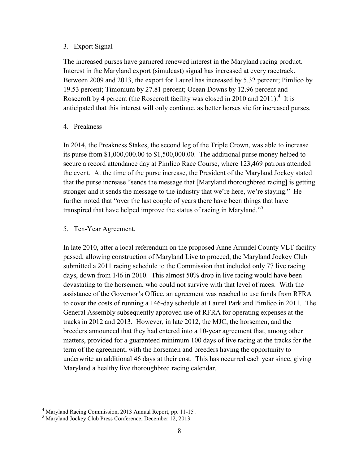#### 3. Export Signal

 The increased purses have garnered renewed interest in the Maryland racing product. Interest in the Maryland export (simulcast) signal has increased at every racetrack. Between 2009 and 2013, the export for Laurel has increased by 5.32 percent; Pimlico by 19.53 percent; Timonium by 27.81 percent; Ocean Downs by 12.96 percent and Rosecroft by 4 percent (the Rosecroft facility was closed in 2010 and 2011).<sup>4</sup> It is anticipated that this interest will only continue, as better horses vie for increased purses.

#### 4. Preakness

 In 2014, the Preakness Stakes, the second leg of the Triple Crown, was able to increase its purse from \$1,000,000.00 to \$1,500,000.00. The additional purse money helped to secure a record attendance day at Pimlico Race Course, where 123,469 patrons attended the event. At the time of the purse increase, the President of the Maryland Jockey stated that the purse increase "sends the message that [Maryland thoroughbred racing] is getting stronger and it sends the message to the industry that we're here, we're staying." He further noted that "over the last couple of years there have been things that have transpired that have helped improve the status of racing in Maryland."<sup>5</sup>

#### 5. Ten-Year Agreement.

In late 2010, after a local referendum on the proposed Anne Arundel County VLT facility passed, allowing construction of Maryland Live to proceed, the Maryland Jockey Club submitted a 2011 racing schedule to the Commission that included only 77 live racing days, down from 146 in 2010. This almost 50% drop in live racing would have been devastating to the horsemen, who could not survive with that level of races. With the assistance of the Governor's Office, an agreement was reached to use funds from RFRA to cover the costs of running a 146-day schedule at Laurel Park and Pimlico in 2011. The General Assembly subsequently approved use of RFRA for operating expenses at the tracks in 2012 and 2013. However, in late 2012, the MJC, the horsemen, and the breeders announced that they had entered into a 10-year agreement that, among other matters, provided for a guaranteed minimum 100 days of live racing at the tracks for the term of the agreement, with the horsemen and breeders having the opportunity to underwrite an additional 46 days at their cost. This has occurred each year since, giving Maryland a healthy live thoroughbred racing calendar.

 4 Maryland Racing Commission, 2013 Annual Report, pp. 11-15 .

<sup>5</sup> Maryland Jockey Club Press Conference, December 12, 2013.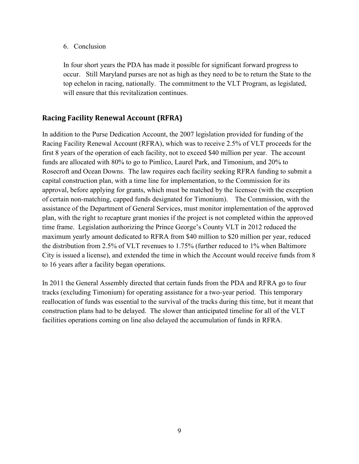6. Conclusion

In four short years the PDA has made it possible for significant forward progress to occur. Still Maryland purses are not as high as they need to be to return the State to the top echelon in racing, nationally. The commitment to the VLT Program, as legislated, will ensure that this revitalization continues.

## <span id="page-11-0"></span>**Racing Facility Renewal Account (RFRA)**

In addition to the Purse Dedication Account, the 2007 legislation provided for funding of the Racing Facility Renewal Account (RFRA), which was to receive 2.5% of VLT proceeds for the first 8 years of the operation of each facility, not to exceed \$40 million per year. The account funds are allocated with 80% to go to Pimlico, Laurel Park, and Timonium, and 20% to Rosecroft and Ocean Downs. The law requires each facility seeking RFRA funding to submit a capital construction plan, with a time line for implementation, to the Commission for its approval, before applying for grants, which must be matched by the licensee (with the exception of certain non-matching, capped funds designated for Timonium). The Commission, with the assistance of the Department of General Services, must monitor implementation of the approved plan, with the right to recapture grant monies if the project is not completed within the approved time frame. Legislation authorizing the Prince George's County VLT in 2012 reduced the maximum yearly amount dedicated to RFRA from \$40 million to \$20 million per year, reduced the distribution from 2.5% of VLT revenues to 1.75% (further reduced to 1% when Baltimore City is issued a license), and extended the time in which the Account would receive funds from 8 to 16 years after a facility began operations.

In 2011 the General Assembly directed that certain funds from the PDA and RFRA go to four tracks (excluding Timonium) for operating assistance for a two-year period. This temporary reallocation of funds was essential to the survival of the tracks during this time, but it meant that construction plans had to be delayed. The slower than anticipated timeline for all of the VLT facilities operations coming on line also delayed the accumulation of funds in RFRA.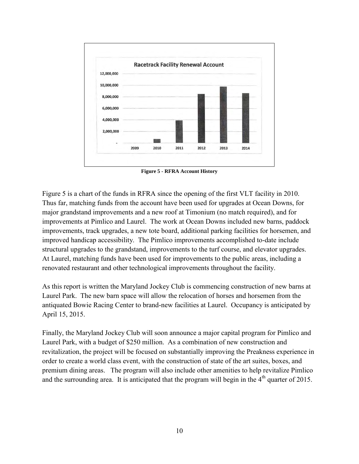

**Figure 5 - RFRA Account History** 

<span id="page-12-0"></span>Figure 5 is a chart of the funds in RFRA since the opening of the first VLT facility in 2010. Thus far, matching funds from the account have been used for upgrades at Ocean Downs, for major grandstand improvements and a new roof at Timonium (no match required), and for improvements at Pimlico and Laurel. The work at Ocean Downs included new barns, paddock improvements, track upgrades, a new tote board, additional parking facilities for horsemen, and improved handicap accessibility. The Pimlico improvements accomplished to-date include structural upgrades to the grandstand, improvements to the turf course, and elevator upgrades. At Laurel, matching funds have been used for improvements to the public areas, including a renovated restaurant and other technological improvements throughout the facility.

As this report is written the Maryland Jockey Club is commencing construction of new barns at Laurel Park. The new barn space will allow the relocation of horses and horsemen from the antiquated Bowie Racing Center to brand-new facilities at Laurel. Occupancy is anticipated by April 15, 2015.

Finally, the Maryland Jockey Club will soon announce a major capital program for Pimlico and Laurel Park, with a budget of \$250 million. As a combination of new construction and revitalization, the project will be focused on substantially improving the Preakness experience in order to create a world class event, with the construction of state of the art suites, boxes, and premium dining areas. The program will also include other amenities to help revitalize Pimlico and the surrounding area. It is anticipated that the program will begin in the  $4<sup>th</sup>$  quarter of 2015.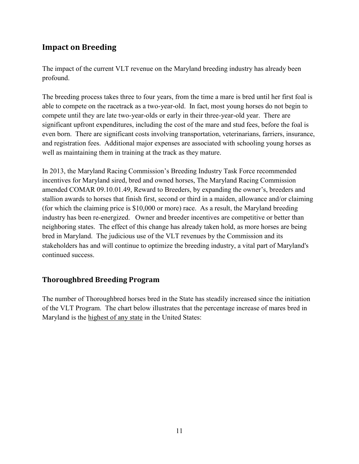# <span id="page-13-0"></span>**Impact on Breeding**

The impact of the current VLT revenue on the Maryland breeding industry has already been profound.

The breeding process takes three to four years, from the time a mare is bred until her first foal is able to compete on the racetrack as a two-year-old. In fact, most young horses do not begin to compete until they are late two-year-olds or early in their three-year-old year. There are significant upfront expenditures, including the cost of the mare and stud fees, before the foal is even born. There are significant costs involving transportation, veterinarians, farriers, insurance, and registration fees. Additional major expenses are associated with schooling young horses as well as maintaining them in training at the track as they mature.

In 2013, the Maryland Racing Commission's Breeding Industry Task Force recommended incentives for Maryland sired, bred and owned horses, The Maryland Racing Commission amended COMAR 09.10.01.49, Reward to Breeders, by expanding the owner's, breeders and stallion awards to horses that finish first, second or third in a maiden, allowance and/or claiming (for which the claiming price is \$10,000 or more) race. As a result, the Maryland breeding industry has been re-energized. Owner and breeder incentives are competitive or better than neighboring states. The effect of this change has already taken hold, as more horses are being bred in Maryland. The judicious use of the VLT revenues by the Commission and its stakeholders has and will continue to optimize the breeding industry, a vital part of Maryland's continued success.

#### <span id="page-13-1"></span>**Thoroughbred Breeding Program**

The number of Thoroughbred horses bred in the State has steadily increased since the initiation of the VLT Program. The chart below illustrates that the percentage increase of mares bred in Maryland is the highest of any state in the United States: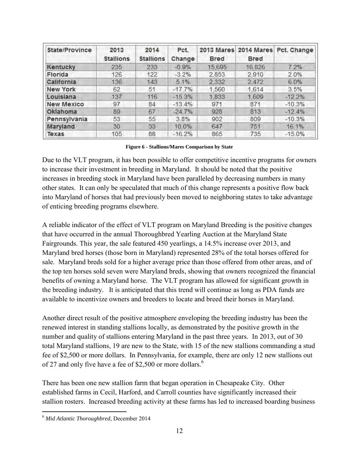| State/Province    | 2013<br><b>Stallions</b> | 2014<br><b>Stallions</b> | Pct.<br>Change | Bred   | Bred   | 2013 Mares 2014 Mares Pct. Change |  |
|-------------------|--------------------------|--------------------------|----------------|--------|--------|-----------------------------------|--|
| Kentucky          | 235                      | 233                      | $-0.9%$        | 15,695 | 16.826 | 7.2%                              |  |
| Florida           | 126                      | 122                      | $-3.2%$        | 2,853  | 2,910  | 2.0%                              |  |
| California        | 136                      | 143                      | 5.1%           | 2.332  | 2.472  | 6.0%                              |  |
| <b>New York</b>   | 62                       | 51                       | $-17.7%$       | 1,560  | 1,614  | 3.5%                              |  |
| Louisiana         | 137                      | 116                      | $-15.3%$       | 1.833  | 1.609  | $-12.2%$                          |  |
| <b>New Mexico</b> | 97                       | 84                       | $-13.4%$       | 971    | 871    | $-10.3%$                          |  |
| Oklahoma          | 89                       | 67                       | $-24.7%$       | 928    | 813    | $-12.4%$                          |  |
| Pennsylvania      | 53                       | 55                       | 3.8%           | 902    | 809    | $-10.3%$                          |  |
| Maryland          | 30                       | 33                       | 10.0%          | 647    | 751    | 16.1%                             |  |
| Texas             | 105                      | 88                       | $-16.2%$       | 865    | 735    | $-15.0%$                          |  |

**Figure 6 - Stallions/Mares Comparison by State** 

<span id="page-14-0"></span>Due to the VLT program, it has been possible to offer competitive incentive programs for owners to increase their investment in breeding in Maryland. It should be noted that the positive increases in breeding stock in Maryland have been paralleled by decreasing numbers in many other states. It can only be speculated that much of this change represents a positive flow back into Maryland of horses that had previously been moved to neighboring states to take advantage of enticing breeding programs elsewhere.

A reliable indicator of the effect of VLT program on Maryland Breeding is the positive changes that have occurred in the annual Thoroughbred Yearling Auction at the Maryland State Fairgrounds. This year, the sale featured 450 yearlings, a 14.5% increase over 2013, and Maryland bred horses (those born in Maryland) represented 28% of the total horses offered for sale. Maryland breds sold for a higher average price than those offered from other areas, and of the top ten horses sold seven were Maryland breds, showing that owners recognized the financial benefits of owning a Maryland horse. The VLT program has allowed for significant growth in the breeding industry. It is anticipated that this trend will continue as long as PDA funds are available to incentivize owners and breeders to locate and breed their horses in Maryland.

Another direct result of the positive atmosphere enveloping the breeding industry has been the renewed interest in standing stallions locally, as demonstrated by the positive growth in the number and quality of stallions entering Maryland in the past three years. In 2013, out of 30 total Maryland stallions, 19 are new to the State, with 15 of the new stallions commanding a stud fee of \$2,500 or more dollars. In Pennsylvania, for example, there are only 12 new stallions out of 27 and only five have a fee of \$2,500 or more dollars.<sup>6</sup>

There has been one new stallion farm that began operation in Chesapeake City. Other established farms in Cecil, Harford, and Carroll counties have significantly increased their stallion rosters. Increased breeding activity at these farms has led to increased boarding business

 $\overline{a}$ <sup>6</sup> *Mid Atlantic Thoroughbred*, December 2014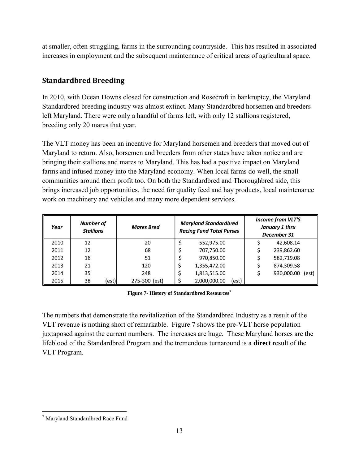at smaller, often struggling, farms in the surrounding countryside. This has resulted in associated increases in employment and the subsequent maintenance of critical areas of agricultural space.

## <span id="page-15-0"></span>**Standardbred Breeding**

In 2010, with Ocean Downs closed for construction and Rosecroft in bankruptcy, the Maryland Standardbred breeding industry was almost extinct. Many Standardbred horsemen and breeders left Maryland. There were only a handful of farms left, with only 12 stallions registered, breeding only 20 mares that year.

The VLT money has been an incentive for Maryland horsemen and breeders that moved out of Maryland to return. Also, horsemen and breeders from other states have taken notice and are bringing their stallions and mares to Maryland. This has had a positive impact on Maryland farms and infused money into the Maryland economy. When local farms do well, the small communities around them profit too. On both the Standardbred and Thoroughbred side, this brings increased job opportunities, the need for quality feed and hay products, local maintenance work on machinery and vehicles and many more dependent services.

| Year | <b>Number of</b><br><b>Stallions</b> | <b>Mares Bred</b> | <b>Maryland Standardbred</b><br><b>Racing Fund Total Purses</b> |  | <b>Income from VLT'S</b><br>January 1 thru<br>December 31 |            |       |
|------|--------------------------------------|-------------------|-----------------------------------------------------------------|--|-----------------------------------------------------------|------------|-------|
| 2010 | 12                                   | 20                | 552,975.00                                                      |  |                                                           | 42,608.14  |       |
| 2011 | 12                                   | 68                | 707,750.00                                                      |  |                                                           | 239,862.60 |       |
| 2012 | 16                                   | 51                | 970,850.00                                                      |  |                                                           | 582,719.08 |       |
| 2013 | 21                                   | 120               | 1,355,472.00                                                    |  |                                                           | 874.309.58 |       |
| 2014 | 35                                   | 248               | 1,813,515.00                                                    |  |                                                           | 930,000.00 | (est) |
| 2015 | 38<br>(est)                          | 275-300 (est)     | 2,000,000.00<br>(est)                                           |  |                                                           |            |       |

**Figure 7- History of Standardbred Resources<sup>7</sup>**

<span id="page-15-1"></span>The numbers that demonstrate the revitalization of the Standardbred Industry as a result of the VLT revenue is nothing short of remarkable. Figure 7 shows the pre-VLT horse population juxtaposed against the current numbers. The increases are huge. These Maryland horses are the lifeblood of the Standardbred Program and the tremendous turnaround is a **direct** result of the VLT Program.

 $\overline{a}$ <sup>7</sup> Maryland Standardbred Race Fund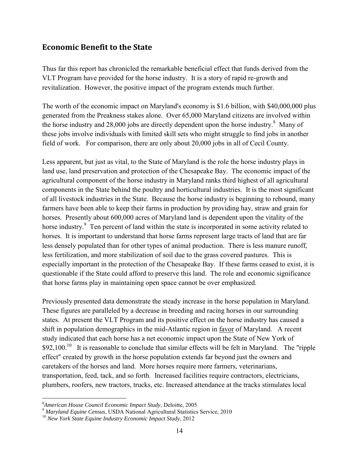### <span id="page-16-0"></span>**Economic Benefit to the State**

Thus far this report has chronicled the remarkable beneficial effect that funds derived from the VLT Program have provided for the horse industry. It is a story of rapid re-growth and revitalization. However, the positive impact of the program extends much further.

The worth of the economic impact on Maryland's economy is \$1.6 billion, with \$40,000,000 plus generated from the Preakness stakes alone. Over 65,000 Maryland citizens are involved within the horse industry and  $28,000$  jobs are directly dependent upon the horse industry.<sup>8</sup> Many of these jobs involve individuals with limited skill sets who might struggle to find jobs in another field of work. For comparison, there are only about 20,000 jobs in all of Cecil County.

Less apparent, but just as vital, to the State of Maryland is the role the horse industry plays in land use, land preservation and protection of the Chesapeake Bay. The economic impact of the agricultural component of the horse industry in Maryland ranks third highest of all agricultural components in the State behind the poultry and horticultural industries. It is the most significant of all livestock industries in the State. Because the horse industry is beginning to rebound, many farmers have been able to keep their farms in production by providing hay, straw and grain for horses. Presently about 600,000 acres of Maryland land is dependent upon the vitality of the horse industry.<sup>9</sup> Ten percent of land within the state is incorporated in some activity related to horses. It is important to understand that horse farms represent large tracts of land that are far less densely populated than for other types of animal production. There is less manure runoff, less fertilization, and more stabilization of soil due to the grass covered pastures. This is especially important in the protection of the Chesapeake Bay. If these farms ceased to exist, it is questionable if the State could afford to preserve this land. The role and economic significance that horse farms play in maintaining open space cannot be over emphasized.

Previously presented data demonstrate the steady increase in the horse population in Maryland. These figures are paralleled by a decrease in breeding and racing horses in our surrounding states. At present the VLT Program and its positive effect on the horse industry has caused a shift in population demographics in the mid-Atlantic region in favor of Maryland. A recent study indicated that each horse has a net economic impact upon the State of New York of \$92,100.<sup>10</sup> It is reasonable to conclude that similar effects will be felt in Maryland. The "ripple effect" created by growth in the horse population extends far beyond just the owners and caretakers of the horses and land. More horses require more farmers, veterinarians, transportation, feed, tack, and so forth. Increased facilities require contractors, electricians, plumbers, roofers, new tractors, trucks, etc. Increased attendance at the tracks stimulates local

 $\overline{a}$ <sup>8</sup>*American House Council Economic Impact Study*, Deloitte, 2005

<sup>9</sup> *Maryland Equine Census*, USDA National Agricultural Statistics Service, 2010

<sup>10</sup> *New York State Equine Industry Economic Impact Study*, 2012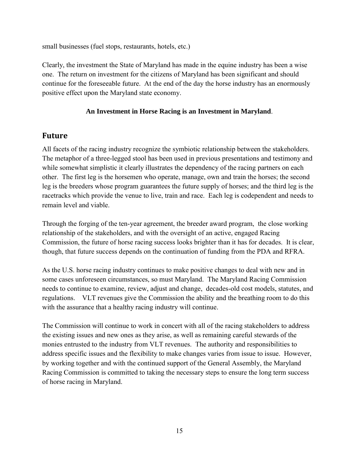small businesses (fuel stops, restaurants, hotels, etc.)

Clearly, the investment the State of Maryland has made in the equine industry has been a wise one. The return on investment for the citizens of Maryland has been significant and should continue for the foreseeable future. At the end of the day the horse industry has an enormously positive effect upon the Maryland state economy.

#### **An Investment in Horse Racing is an Investment in Maryland**.

## <span id="page-17-0"></span>**Future**

All facets of the racing industry recognize the symbiotic relationship between the stakeholders. The metaphor of a three-legged stool has been used in previous presentations and testimony and while somewhat simplistic it clearly illustrates the dependency of the racing partners on each other. The first leg is the horsemen who operate, manage, own and train the horses; the second leg is the breeders whose program guarantees the future supply of horses; and the third leg is the racetracks which provide the venue to live, train and race. Each leg is codependent and needs to remain level and viable.

Through the forging of the ten-year agreement, the breeder award program, the close working relationship of the stakeholders, and with the oversight of an active, engaged Racing Commission, the future of horse racing success looks brighter than it has for decades. It is clear, though, that future success depends on the continuation of funding from the PDA and RFRA.

As the U.S. horse racing industry continues to make positive changes to deal with new and in some cases unforeseen circumstances, so must Maryland. The Maryland Racing Commission needs to continue to examine, review, adjust and change, decades-old cost models, statutes, and regulations. VLT revenues give the Commission the ability and the breathing room to do this with the assurance that a healthy racing industry will continue.

The Commission will continue to work in concert with all of the racing stakeholders to address the existing issues and new ones as they arise, as well as remaining careful stewards of the monies entrusted to the industry from VLT revenues. The authority and responsibilities to address specific issues and the flexibility to make changes varies from issue to issue. However, by working together and with the continued support of the General Assembly, the Maryland Racing Commission is committed to taking the necessary steps to ensure the long term success of horse racing in Maryland.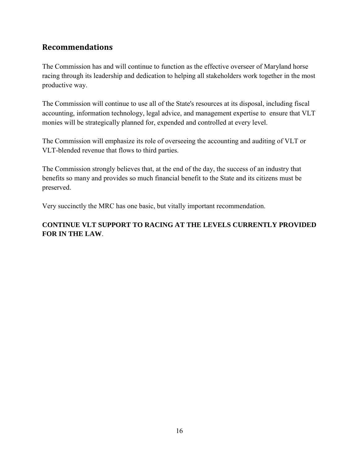## <span id="page-18-0"></span>**Recommendations**

The Commission has and will continue to function as the effective overseer of Maryland horse racing through its leadership and dedication to helping all stakeholders work together in the most productive way.

The Commission will continue to use all of the State's resources at its disposal, including fiscal accounting, information technology, legal advice, and management expertise to ensure that VLT monies will be strategically planned for, expended and controlled at every level.

The Commission will emphasize its role of overseeing the accounting and auditing of VLT or VLT-blended revenue that flows to third parties.

The Commission strongly believes that, at the end of the day, the success of an industry that benefits so many and provides so much financial benefit to the State and its citizens must be preserved.

Very succinctly the MRC has one basic, but vitally important recommendation.

### **CONTINUE VLT SUPPORT TO RACING AT THE LEVELS CURRENTLY PROVIDED FOR IN THE LAW**.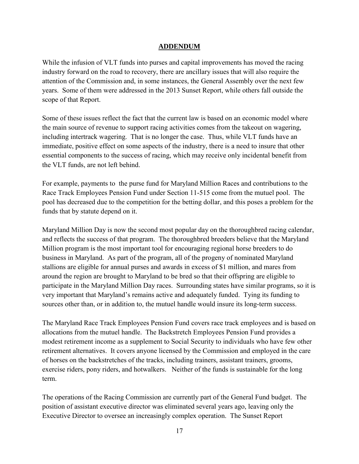#### **ADDENDUM**

While the infusion of VLT funds into purses and capital improvements has moved the racing industry forward on the road to recovery, there are ancillary issues that will also require the attention of the Commission and, in some instances, the General Assembly over the next few years. Some of them were addressed in the 2013 Sunset Report, while others fall outside the scope of that Report.

Some of these issues reflect the fact that the current law is based on an economic model where the main source of revenue to support racing activities comes from the takeout on wagering, including intertrack wagering. That is no longer the case. Thus, while VLT funds have an immediate, positive effect on some aspects of the industry, there is a need to insure that other essential components to the success of racing, which may receive only incidental benefit from the VLT funds, are not left behind.

For example, payments to the purse fund for Maryland Million Races and contributions to the Race Track Employees Pension Fund under Section 11-515 come from the mutuel pool. The pool has decreased due to the competition for the betting dollar, and this poses a problem for the funds that by statute depend on it.

Maryland Million Day is now the second most popular day on the thoroughbred racing calendar, and reflects the success of that program. The thoroughbred breeders believe that the Maryland Million program is the most important tool for encouraging regional horse breeders to do business in Maryland. As part of the program, all of the progeny of nominated Maryland stallions are eligible for annual purses and awards in excess of \$1 million, and mares from around the region are brought to Maryland to be bred so that their offspring are eligible to participate in the Maryland Million Day races. Surrounding states have similar programs, so it is very important that Maryland's remains active and adequately funded. Tying its funding to sources other than, or in addition to, the mutuel handle would insure its long-term success.

The Maryland Race Track Employees Pension Fund covers race track employees and is based on allocations from the mutuel handle. The Backstretch Employees Pension Fund provides a modest retirement income as a supplement to Social Security to individuals who have few other retirement alternatives. It covers anyone licensed by the Commission and employed in the care of horses on the backstretches of the tracks, including trainers, assistant trainers, grooms, exercise riders, pony riders, and hotwalkers. Neither of the funds is sustainable for the long term.

The operations of the Racing Commission are currently part of the General Fund budget. The position of assistant executive director was eliminated several years ago, leaving only the Executive Director to oversee an increasingly complex operation. The Sunset Report